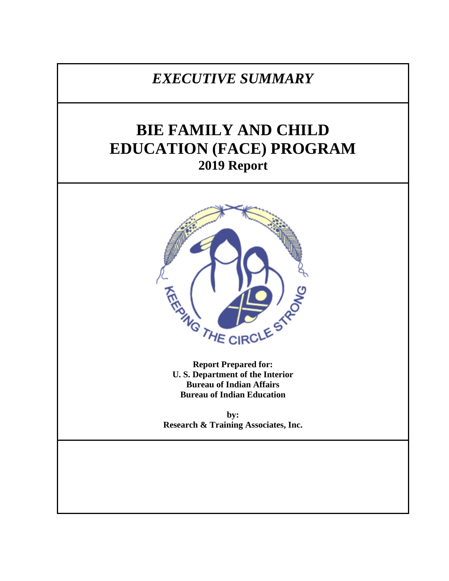## *EXECUTIVE SUMMARY*

# **BIE FAMILY AND CHILD EDUCATION (FACE) PROGRAM 2019 Report**



**Report Prepared for: U. S. Department of the Interior Bureau of Indian Affairs Bureau of Indian Education**

**by: Research & Training Associates, Inc.**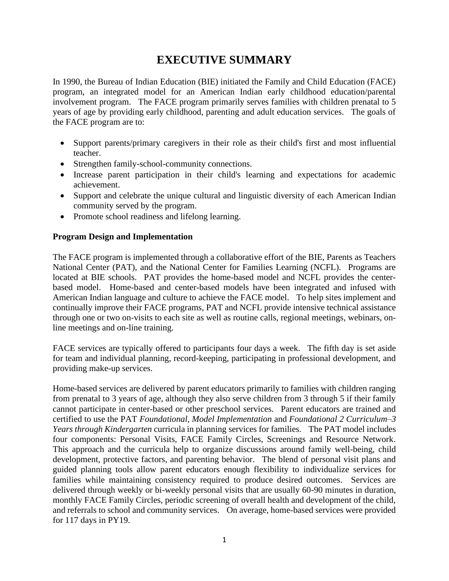### **EXECUTIVE SUMMARY**

In 1990, the Bureau of Indian Education (BIE) initiated the Family and Child Education (FACE) program, an integrated model for an American Indian early childhood education/parental involvement program. The FACE program primarily serves families with children prenatal to 5 years of age by providing early childhood, parenting and adult education services. The goals of the FACE program are to:

- Support parents/primary caregivers in their role as their child's first and most influential teacher.
- Strengthen family-school-community connections.
- Increase parent participation in their child's learning and expectations for academic achievement.
- Support and celebrate the unique cultural and linguistic diversity of each American Indian community served by the program.
- Promote school readiness and lifelong learning.

#### **Program Design and Implementation**

The FACE program is implemented through a collaborative effort of the BIE, Parents as Teachers National Center (PAT), and the National Center for Families Learning (NCFL). Programs are located at BIE schools. PAT provides the home-based model and NCFL provides the centerbased model. Home-based and center-based models have been integrated and infused with American Indian language and culture to achieve the FACE model. To help sites implement and continually improve their FACE programs, PAT and NCFL provide intensive technical assistance through one or two on-visits to each site as well as routine calls, regional meetings, webinars, online meetings and on-line training.

FACE services are typically offered to participants four days a week. The fifth day is set aside for team and individual planning, record-keeping, participating in professional development, and providing make-up services.

Home-based services are delivered by parent educators primarily to families with children ranging from prenatal to 3 years of age, although they also serve children from 3 through 5 if their family cannot participate in center-based or other preschool services. Parent educators are trained and certified to use the PAT *Foundational, Model Implementation* and *Foundational 2 Curriculum–3 Years through Kindergarten* curricula in planning services for families. The PAT model includes four components: Personal Visits, FACE Family Circles, Screenings and Resource Network. This approach and the curricula help to organize discussions around family well-being, child development, protective factors, and parenting behavior. The blend of personal visit plans and guided planning tools allow parent educators enough flexibility to individualize services for families while maintaining consistency required to produce desired outcomes. Services are delivered through weekly or bi-weekly personal visits that are usually 60-90 minutes in duration, monthly FACE Family Circles, periodic screening of overall health and development of the child, and referrals to school and community services. On average, home-based services were provided for 117 days in PY19.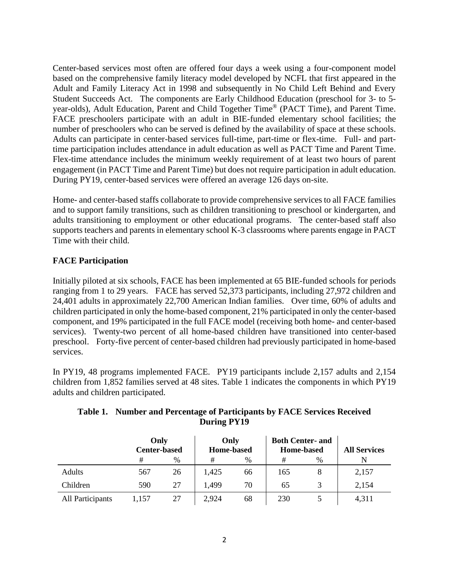Center-based services most often are offered four days a week using a four-component model based on the comprehensive family literacy model developed by NCFL that first appeared in the Adult and Family Literacy Act in 1998 and subsequently in No Child Left Behind and Every Student Succeeds Act. The components are Early Childhood Education (preschool for 3- to 5 year-olds), Adult Education, Parent and Child Together Time® (PACT Time), and Parent Time. FACE preschoolers participate with an adult in BIE-funded elementary school facilities; the number of preschoolers who can be served is defined by the availability of space at these schools. Adults can participate in center-based services full-time, part-time or flex-time. Full- and parttime participation includes attendance in adult education as well as PACT Time and Parent Time. Flex-time attendance includes the minimum weekly requirement of at least two hours of parent engagement (in PACT Time and Parent Time) but does not require participation in adult education. During PY19, center-based services were offered an average 126 days on-site.

Home- and center-based staffs collaborate to provide comprehensive services to all FACE families and to support family transitions, such as children transitioning to preschool or kindergarten, and adults transitioning to employment or other educational programs. The center-based staff also supports teachers and parents in elementary school K-3 classrooms where parents engage in PACT Time with their child.

#### **FACE Participation**

Initially piloted at six schools, FACE has been implemented at 65 BIE-funded schools for periods ranging from 1 to 29 years. FACE has served 52,373 participants, including 27,972 children and 24,401 adults in approximately 22,700 American Indian families. Over time, 60% of adults and children participated in only the home-based component, 21% participated in only the center-based component, and 19% participated in the full FACE model (receiving both home- and center-based services). Twenty-two percent of all home-based children have transitioned into center-based preschool. Forty-five percent of center-based children had previously participated in home-based services.

In PY19, 48 programs implemented FACE. PY19 participants include 2,157 adults and 2,154 children from 1,852 families served at 48 sites. Table 1 indicates the components in which PY19 adults and children participated.

|                  | Only<br><b>Center-based</b> |    | Only<br><b>Home-based</b> |    | <b>Both Center- and</b><br><b>Home-based</b> |      | <b>All Services</b> |
|------------------|-----------------------------|----|---------------------------|----|----------------------------------------------|------|---------------------|
|                  | #                           | %  | #                         | %  | #                                            | $\%$ |                     |
| <b>Adults</b>    | 567                         | 26 | 1,425                     | 66 | 165                                          |      | 2,157               |
| Children         | 590                         | 27 | 1.499                     | 70 | 65                                           |      | 2,154               |
| All Participants | 1.157                       | 27 | 2,924                     | 68 | 230                                          |      | 4,311               |

#### **Table 1. Number and Percentage of Participants by FACE Services Received During PY19**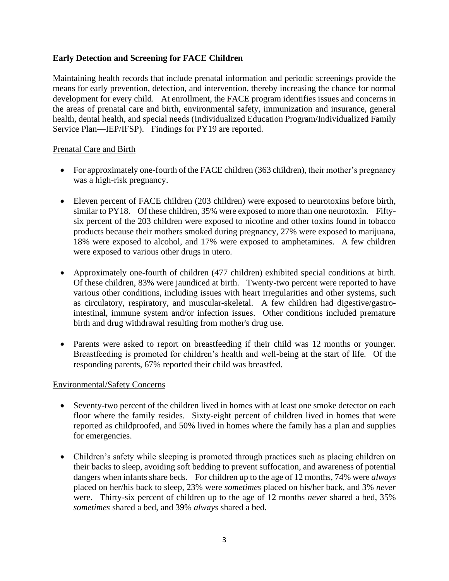#### **Early Detection and Screening for FACE Children**

Maintaining health records that include prenatal information and periodic screenings provide the means for early prevention, detection, and intervention, thereby increasing the chance for normal development for every child. At enrollment, the FACE program identifies issues and concerns in the areas of prenatal care and birth, environmental safety, immunization and insurance, general health, dental health, and special needs (Individualized Education Program/Individualized Family Service Plan—IEP/IFSP). Findings for PY19 are reported.

#### Prenatal Care and Birth

- For approximately one-fourth of the FACE children (363 children), their mother's pregnancy was a high-risk pregnancy.
- Eleven percent of FACE children (203 children) were exposed to neurotoxins before birth, similar to PY18. Of these children, 35% were exposed to more than one neurotoxin. Fiftysix percent of the 203 children were exposed to nicotine and other toxins found in tobacco products because their mothers smoked during pregnancy, 27% were exposed to marijuana, 18% were exposed to alcohol, and 17% were exposed to amphetamines. A few children were exposed to various other drugs in utero.
- Approximately one-fourth of children (477 children) exhibited special conditions at birth. Of these children, 83% were jaundiced at birth. Twenty-two percent were reported to have various other conditions, including issues with heart irregularities and other systems, such as circulatory, respiratory, and muscular-skeletal. A few children had digestive/gastrointestinal, immune system and/or infection issues. Other conditions included premature birth and drug withdrawal resulting from mother's drug use.
- Parents were asked to report on breastfeeding if their child was 12 months or younger. Breastfeeding is promoted for children's health and well-being at the start of life. Of the responding parents, 67% reported their child was breastfed.

#### Environmental/Safety Concerns

- Seventy-two percent of the children lived in homes with at least one smoke detector on each floor where the family resides. Sixty-eight percent of children lived in homes that were reported as childproofed, and 50% lived in homes where the family has a plan and supplies for emergencies.
- Children's safety while sleeping is promoted through practices such as placing children on their backs to sleep, avoiding soft bedding to prevent suffocation, and awareness of potential dangers when infants share beds. For children up to the age of 12 months, 74% were *always* placed on her/his back to sleep, 23% were *sometimes* placed on his/her back, and 3% *never* were. Thirty-six percent of children up to the age of 12 months *never* shared a bed, 35% *sometimes* shared a bed, and 39% *always* shared a bed.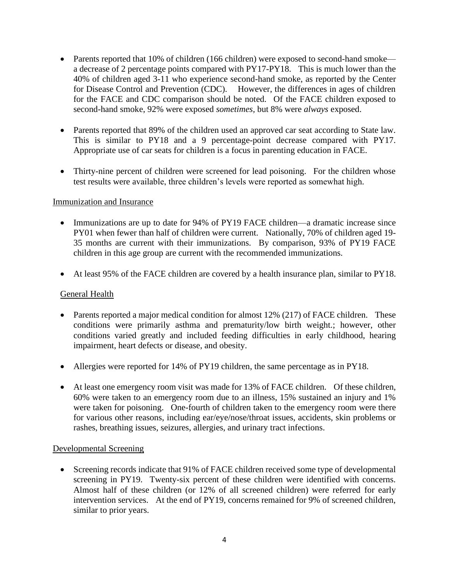- Parents reported that 10% of children (166 children) were exposed to second-hand smoke a decrease of 2 percentage points compared with PY17-PY18. This is much lower than the 40% of children aged 3-11 who experience second-hand smoke, as reported by the Center for Disease Control and Prevention (CDC). However, the differences in ages of children for the FACE and CDC comparison should be noted. Of the FACE children exposed to second-hand smoke, 92% were exposed *sometimes,* but 8% were *always* exposed.
- Parents reported that 89% of the children used an approved car seat according to State law. This is similar to PY18 and a 9 percentage-point decrease compared with PY17. Appropriate use of car seats for children is a focus in parenting education in FACE.
- Thirty-nine percent of children were screened for lead poisoning. For the children whose test results were available, three children's levels were reported as somewhat high*.*

#### Immunization and Insurance

- Immunizations are up to date for 94% of PY19 FACE children—a dramatic increase since PY01 when fewer than half of children were current. Nationally, 70% of children aged 19- 35 months are current with their immunizations. By comparison, 93% of PY19 FACE children in this age group are current with the recommended immunizations.
- At least 95% of the FACE children are covered by a health insurance plan, similar to PY18.

#### General Health

- Parents reported a major medical condition for almost 12% (217) of FACE children. These conditions were primarily asthma and prematurity/low birth weight.; however, other conditions varied greatly and included feeding difficulties in early childhood, hearing impairment, heart defects or disease, and obesity.
- Allergies were reported for 14% of PY19 children, the same percentage as in PY18.
- At least one emergency room visit was made for 13% of FACE children. Of these children, 60% were taken to an emergency room due to an illness, 15% sustained an injury and 1% were taken for poisoning. One-fourth of children taken to the emergency room were there for various other reasons, including ear/eye/nose/throat issues, accidents, skin problems or rashes, breathing issues, seizures, allergies, and urinary tract infections.

#### Developmental Screening

• Screening records indicate that 91% of FACE children received some type of developmental screening in PY19. Twenty-six percent of these children were identified with concerns. Almost half of these children (or 12% of all screened children) were referred for early intervention services. At the end of PY19, concerns remained for 9% of screened children, similar to prior years.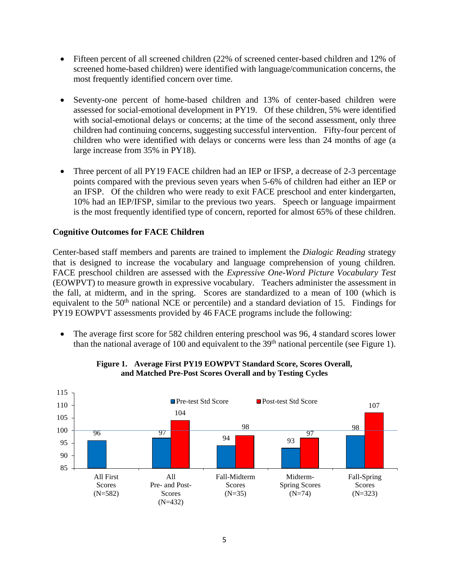- Fifteen percent of all screened children (22% of screened center-based children and 12% of screened home-based children) were identified with language/communication concerns, the most frequently identified concern over time.
- Seventy-one percent of home-based children and 13% of center-based children were assessed for social-emotional development in PY19. Of these children, 5% were identified with social-emotional delays or concerns; at the time of the second assessment, only three children had continuing concerns, suggesting successful intervention. Fifty-four percent of children who were identified with delays or concerns were less than 24 months of age (a large increase from 35% in PY18).
- Three percent of all PY19 FACE children had an IEP or IFSP, a decrease of 2-3 percentage points compared with the previous seven years when 5-6% of children had either an IEP or an IFSP. Of the children who were ready to exit FACE preschool and enter kindergarten, 10% had an IEP/IFSP, similar to the previous two years. Speech or language impairment is the most frequently identified type of concern, reported for almost 65% of these children.

#### **Cognitive Outcomes for FACE Children**

Center-based staff members and parents are trained to implement the *Dialogic Reading* strategy that is designed to increase the vocabulary and language comprehension of young children. FACE preschool children are assessed with the *Expressive One-Word Picture Vocabulary Test* (EOWPVT) to measure growth in expressive vocabulary. Teachers administer the assessment in the fall, at midterm, and in the spring. Scores are standardized to a mean of 100 (which is equivalent to the 50<sup>th</sup> national NCE or percentile) and a standard deviation of 15. Findings for PY19 EOWPVT assessments provided by 46 FACE programs include the following:

• The average first score for 582 children entering preschool was 96, 4 standard scores lower than the national average of 100 and equivalent to the  $39<sup>th</sup>$  national percentile (see Figure 1).



#### **Figure 1. Average First PY19 EOWPVT Standard Score, Scores Overall, and Matched Pre-Post Scores Overall and by Testing Cycles**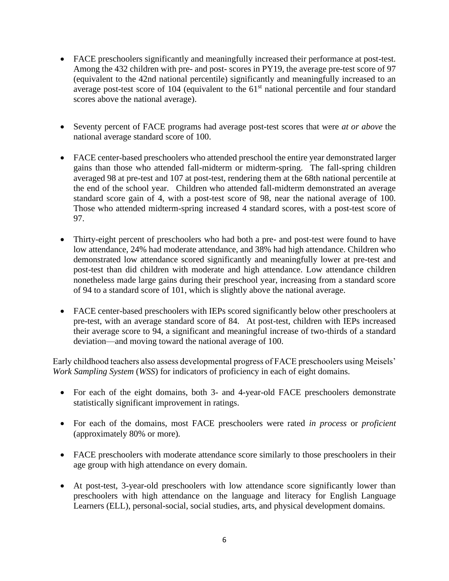- FACE preschoolers significantly and meaningfully increased their performance at post-test. Among the 432 children with pre- and post- scores in PY19, the average pre-test score of 97 (equivalent to the 42nd national percentile) significantly and meaningfully increased to an average post-test score of 104 (equivalent to the 61<sup>st</sup> national percentile and four standard scores above the national average).
- Seventy percent of FACE programs had average post-test scores that were *at or above* the national average standard score of 100.
- FACE center-based preschoolers who attended preschool the entire year demonstrated larger gains than those who attended fall-midterm or midterm-spring. The fall-spring children averaged 98 at pre-test and 107 at post-test, rendering them at the 68th national percentile at the end of the school year. Children who attended fall-midterm demonstrated an average standard score gain of 4, with a post-test score of 98, near the national average of 100. Those who attended midterm-spring increased 4 standard scores, with a post-test score of 97.
- Thirty-eight percent of preschoolers who had both a pre- and post-test were found to have low attendance, 24% had moderate attendance, and 38% had high attendance. Children who demonstrated low attendance scored significantly and meaningfully lower at pre-test and post-test than did children with moderate and high attendance. Low attendance children nonetheless made large gains during their preschool year, increasing from a standard score of 94 to a standard score of 101, which is slightly above the national average.
- FACE center-based preschoolers with IEPs scored significantly below other preschoolers at pre-test, with an average standard score of 84. At post-test, children with IEPs increased their average score to 94, a significant and meaningful increase of two-thirds of a standard deviation—and moving toward the national average of 100.

Early childhood teachers also assess developmental progress of FACE preschoolers using Meisels' *Work Sampling System* (*WSS*) for indicators of proficiency in each of eight domains.

- For each of the eight domains, both 3- and 4-year-old FACE preschoolers demonstrate statistically significant improvement in ratings.
- For each of the domains, most FACE preschoolers were rated *in process* or *proficient*  (approximately 80% or more)*.*
- FACE preschoolers with moderate attendance score similarly to those preschoolers in their age group with high attendance on every domain.
- At post-test, 3-year-old preschoolers with low attendance score significantly lower than preschoolers with high attendance on the language and literacy for English Language Learners (ELL), personal-social, social studies, arts, and physical development domains.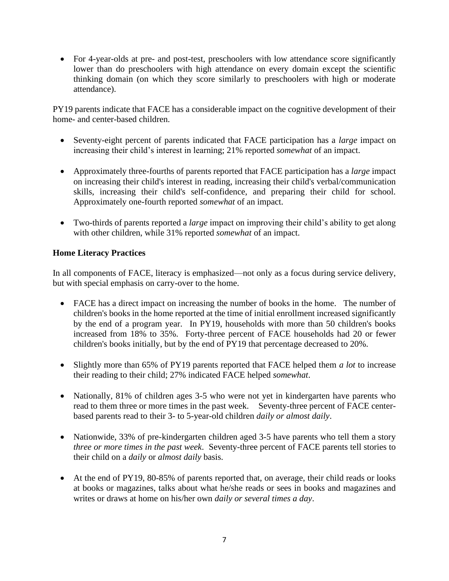• For 4-year-olds at pre- and post-test, preschoolers with low attendance score significantly lower than do preschoolers with high attendance on every domain except the scientific thinking domain (on which they score similarly to preschoolers with high or moderate attendance).

PY19 parents indicate that FACE has a considerable impact on the cognitive development of their home- and center-based children.

- Seventy-eight percent of parents indicated that FACE participation has a *large* impact on increasing their child's interest in learning; 21% reported *somewhat* of an impact.
- Approximately three-fourths of parents reported that FACE participation has a *large* impact on increasing their child's interest in reading, increasing their child's verbal/communication skills, increasing their child's self-confidence, and preparing their child for school. Approximately one-fourth reported *somewhat* of an impact.
- Two-thirds of parents reported a *large* impact on improving their child's ability to get along with other children, while 31% reported *somewhat* of an impact.

#### **Home Literacy Practices**

In all components of FACE, literacy is emphasized—not only as a focus during service delivery, but with special emphasis on carry-over to the home.

- FACE has a direct impact on increasing the number of books in the home. The number of children's books in the home reported at the time of initial enrollment increased significantly by the end of a program year. In PY19, households with more than 50 children's books increased from 18% to 35%. Forty-three percent of FACE households had 20 or fewer children's books initially, but by the end of PY19 that percentage decreased to 20%.
- Slightly more than 65% of PY19 parents reported that FACE helped them *a lot* to increase their reading to their child; 27% indicated FACE helped *somewhat*.
- Nationally, 81% of children ages 3-5 who were not yet in kindergarten have parents who read to them three or more times in the past week. Seventy-three percent of FACE centerbased parents read to their 3- to 5-year-old children *daily or almost daily*.
- Nationwide, 33% of pre-kindergarten children aged 3-5 have parents who tell them a story *three or more times in the past week*. Seventy-three percent of FACE parents tell stories to their child on a *daily* or *almost daily* basis.
- At the end of PY19, 80-85% of parents reported that, on average, their child reads or looks at books or magazines, talks about what he/she reads or sees in books and magazines and writes or draws at home on his/her own *daily or several times a day*.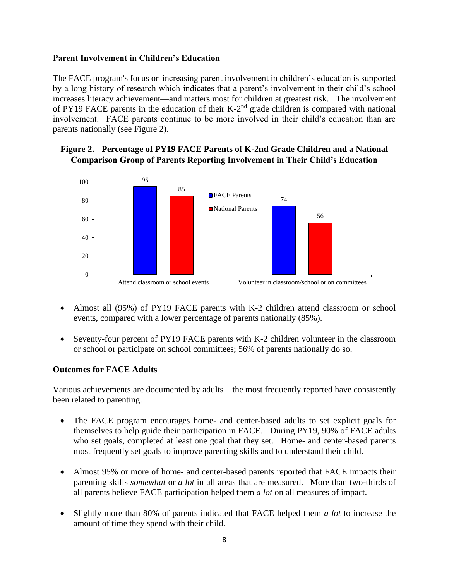#### **Parent Involvement in Children's Education**

The FACE program's focus on increasing parent involvement in children's education is supported by a long history of research which indicates that a parent's involvement in their child's school increases literacy achievement—and matters most for children at greatest risk*.* The involvement of PY19 FACE parents in the education of their  $K-2<sup>nd</sup>$  grade children is compared with national involvement. FACE parents continue to be more involved in their child's education than are parents nationally (see Figure 2).

#### **Figure 2. Percentage of PY19 FACE Parents of K-2nd Grade Children and a National Comparison Group of Parents Reporting Involvement in Their Child's Education**



- Almost all (95%) of PY19 FACE parents with K-2 children attend classroom or school events, compared with a lower percentage of parents nationally (85%).
- Seventy-four percent of PY19 FACE parents with K-2 children volunteer in the classroom or school or participate on school committees; 56% of parents nationally do so.

#### **Outcomes for FACE Adults**

Various achievements are documented by adults—the most frequently reported have consistently been related to parenting.

- The FACE program encourages home- and center-based adults to set explicit goals for themselves to help guide their participation in FACE. During PY19, 90% of FACE adults who set goals, completed at least one goal that they set. Home- and center-based parents most frequently set goals to improve parenting skills and to understand their child.
- Almost 95% or more of home- and center-based parents reported that FACE impacts their parenting skills *somewhat* or *a lot* in all areas that are measured. More than two-thirds of all parents believe FACE participation helped them *a lot* on all measures of impact.
- Slightly more than 80% of parents indicated that FACE helped them *a lot* to increase the amount of time they spend with their child.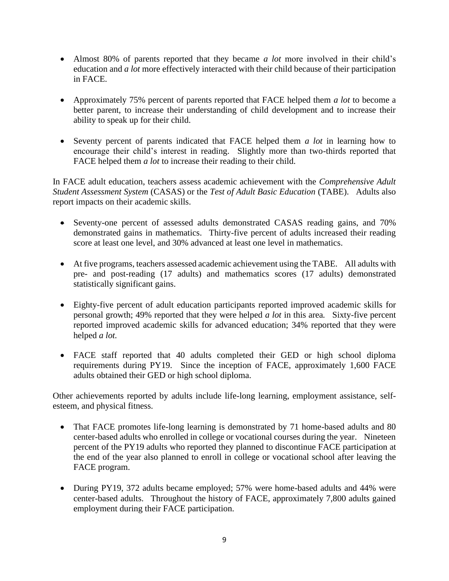- Almost 80% of parents reported that they became *a lot* more involved in their child's education and *a lot* more effectively interacted with their child because of their participation in FACE.
- Approximately 75% percent of parents reported that FACE helped them *a lot* to become a better parent, to increase their understanding of child development and to increase their ability to speak up for their child.
- Seventy percent of parents indicated that FACE helped them *a lot* in learning how to encourage their child's interest in reading. Slightly more than two-thirds reported that FACE helped them *a lot* to increase their reading to their child.

In FACE adult education, teachers assess academic achievement with the *Comprehensive Adult Student Assessment System* (CASAS) or the *Test of Adult Basic Education* (TABE). Adults also report impacts on their academic skills.

- Seventy-one percent of assessed adults demonstrated CASAS reading gains, and 70% demonstrated gains in mathematics. Thirty-five percent of adults increased their reading score at least one level, and 30% advanced at least one level in mathematics.
- At five programs, teachers assessed academic achievement using the TABE. All adults with pre- and post-reading (17 adults) and mathematics scores (17 adults) demonstrated statistically significant gains.
- Eighty-five percent of adult education participants reported improved academic skills for personal growth; 49% reported that they were helped *a lot* in this area*.* Sixty-five percent reported improved academic skills for advanced education; 34% reported that they were helped *a lot.*
- FACE staff reported that 40 adults completed their GED or high school diploma requirements during PY19. Since the inception of FACE, approximately 1,600 FACE adults obtained their GED or high school diploma.

Other achievements reported by adults include life-long learning, employment assistance, selfesteem, and physical fitness.

- That FACE promotes life-long learning is demonstrated by 71 home-based adults and 80 center-based adults who enrolled in college or vocational courses during the year. Nineteen percent of the PY19 adults who reported they planned to discontinue FACE participation at the end of the year also planned to enroll in college or vocational school after leaving the FACE program.
- During PY19, 372 adults became employed; 57% were home-based adults and 44% were center-based adults. Throughout the history of FACE, approximately 7,800 adults gained employment during their FACE participation.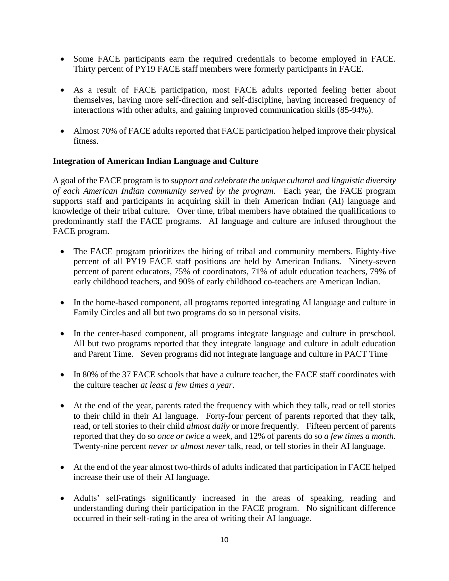- Some FACE participants earn the required credentials to become employed in FACE. Thirty percent of PY19 FACE staff members were formerly participants in FACE.
- As a result of FACE participation, most FACE adults reported feeling better about themselves, having more self-direction and self-discipline, having increased frequency of interactions with other adults, and gaining improved communication skills (85-94%).
- Almost 70% of FACE adults reported that FACE participation helped improve their physical fitness.

#### **Integration of American Indian Language and Culture**

A goal of the FACE program is to *support and celebrate the unique cultural and linguistic diversity of each American Indian community served by the program*. Each year, the FACE program supports staff and participants in acquiring skill in their American Indian (AI) language and knowledge of their tribal culture. Over time, tribal members have obtained the qualifications to predominantly staff the FACE programs. AI language and culture are infused throughout the FACE program.

- The FACE program prioritizes the hiring of tribal and community members. Eighty-five percent of all PY19 FACE staff positions are held by American Indians. Ninety-seven percent of parent educators, 75% of coordinators, 71% of adult education teachers, 79% of early childhood teachers, and 90% of early childhood co-teachers are American Indian.
- In the home-based component, all programs reported integrating AI language and culture in Family Circles and all but two programs do so in personal visits.
- In the center-based component, all programs integrate language and culture in preschool. All but two programs reported that they integrate language and culture in adult education and Parent Time. Seven programs did not integrate language and culture in PACT Time
- In 80% of the 37 FACE schools that have a culture teacher, the FACE staff coordinates with the culture teacher *at least a few times a year*.
- At the end of the year, parents rated the frequency with which they talk, read or tell stories to their child in their AI language. Forty-four percent of parents reported that they talk, read, or tell stories to their child *almost daily* or more frequently*.* Fifteen percent of parents reported that they do so *once or twice a week*, and 12% of parents do so *a few times a month.*  Twenty-nine percent *never or almost never* talk, read, or tell stories in their AI language.
- At the end of the year almost two-thirds of adults indicated that participation in FACE helped increase their use of their AI language.
- Adults' self-ratings significantly increased in the areas of speaking, reading and understanding during their participation in the FACE program. No significant difference occurred in their self-rating in the area of writing their AI language.